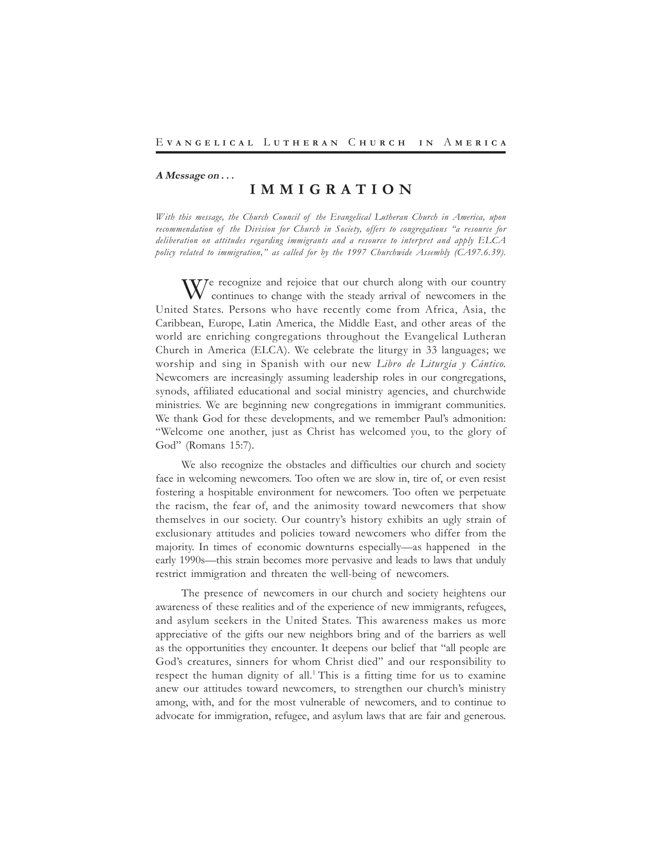#### **A Message on . . .**

# **I M M I G R A T I O N**

*With this message, the Church Council of the Evangelical Lutheran Church in America, upon recommendation of the Division for Church in Society, offers to congregations "a resource for deliberation on attitudes regarding immigrants and a resource to interpret and apply ELCA policy related to immigration," as called for by the 1997 Churchwide Assembly (CA97.6.39).*

We recognize and rejoice that our church along with our country continues to change with the steady arrival of newcomers in the United States. Persons who have recently come from Africa, Asia, the Caribbean, Europe, Latin America, the Middle East, and other areas of the world are enriching congregations throughout the Evangelical Lutheran Church in America (ELCA). We celebrate the liturgy in 33 languages; we worship and sing in Spanish with our new *Libro de Liturgia y Cántico.* Newcomers are increasingly assuming leadership roles in our congregations, synods, affiliated educational and social ministry agencies, and churchwide ministries. We are beginning new congregations in immigrant communities. We thank God for these developments, and we remember Paul's admonition: "Welcome one another, just as Christ has welcomed you, to the glory of God" (Romans 15:7).

We also recognize the obstacles and difficulties our church and society face in welcoming newcomers. Too often we are slow in, tire of, or even resist fostering a hospitable environment for newcomers. Too often we perpetuate the racism, the fear of, and the animosity toward newcomers that show themselves in our society. Our country's history exhibits an ugly strain of exclusionary attitudes and policies toward newcomers who differ from the majority. In times of economic downturns especially—as happened in the early 1990s—this strain becomes more pervasive and leads to laws that unduly restrict immigration and threaten the well-being of newcomers.

The presence of newcomers in our church and society heightens our awareness of these realities and of the experience of new immigrants, refugees, and asylum seekers in the United States. This awareness makes us more appreciative of the gifts our new neighbors bring and of the barriers as well as the opportunities they encounter. It deepens our belief that "all people are God's creatures, sinners for whom Christ died" and our responsibility to respect the human dignity of all.<sup>1</sup> This is a fitting time for us to examine anew our attitudes toward newcomers, to strengthen our church's ministry among, with, and for the most vulnerable of newcomers, and to continue to advocate for immigration, refugee, and asylum laws that are fair and generous.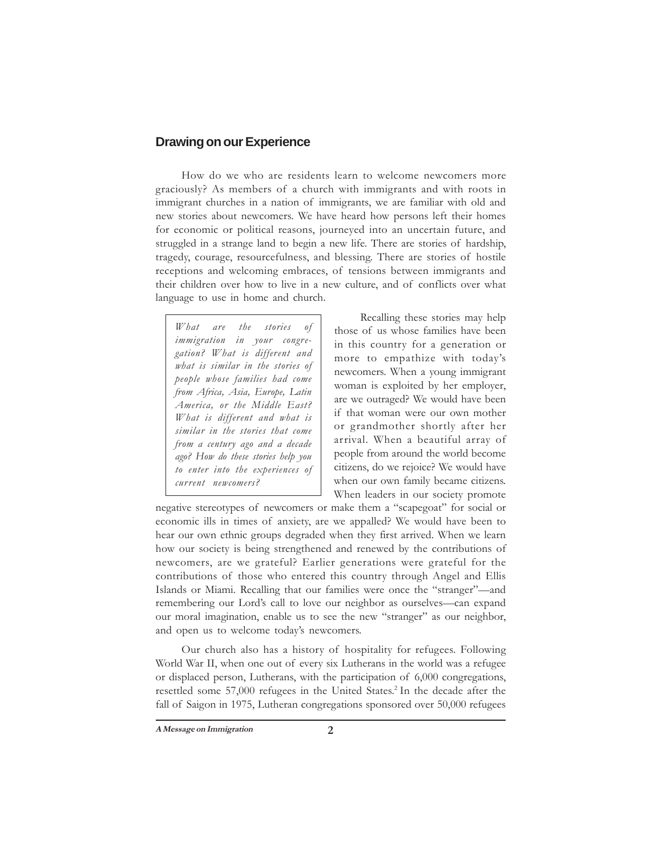# **Drawing on our Experience**

How do we who are residents learn to welcome newcomers more graciously? As members of a church with immigrants and with roots in immigrant churches in a nation of immigrants, we are familiar with old and new stories about newcomers. We have heard how persons left their homes for economic or political reasons, journeyed into an uncertain future, and struggled in a strange land to begin a new life. There are stories of hardship, tragedy, courage, resourcefulness, and blessing. There are stories of hostile receptions and welcoming embraces, of tensions between immigrants and their children over how to live in a new culture, and of conflicts over what language to use in home and church.

*What are the stories of immigration in your congregation? What is different and what is similar in the stories of people whose families had come from Africa, Asia, Europe, Latin America, or the Middle East? What is different and what is similar in the stories that come from a century ago and a decade ago? How do these stories help you to enter into the experiences of current newcomers?*

Recalling these stories may help those of us whose families have been in this country for a generation or more to empathize with today's newcomers. When a young immigrant woman is exploited by her employer, are we outraged? We would have been if that woman were our own mother or grandmother shortly after her arrival. When a beautiful array of people from around the world become citizens, do we rejoice? We would have when our own family became citizens. When leaders in our society promote

negative stereotypes of newcomers or make them a "scapegoat" for social or economic ills in times of anxiety, are we appalled? We would have been to hear our own ethnic groups degraded when they first arrived. When we learn how our society is being strengthened and renewed by the contributions of newcomers, are we grateful? Earlier generations were grateful for the contributions of those who entered this country through Angel and Ellis Islands or Miami. Recalling that our families were once the "stranger"—and remembering our Lord's call to love our neighbor as ourselves—can expand our moral imagination, enable us to see the new "stranger" as our neighbor, and open us to welcome today's newcomers.

Our church also has a history of hospitality for refugees. Following World War II, when one out of every six Lutherans in the world was a refugee or displaced person, Lutherans, with the participation of 6,000 congregations, resettled some 57,000 refugees in the United States.<sup>2</sup> In the decade after the fall of Saigon in 1975, Lutheran congregations sponsored over 50,000 refugees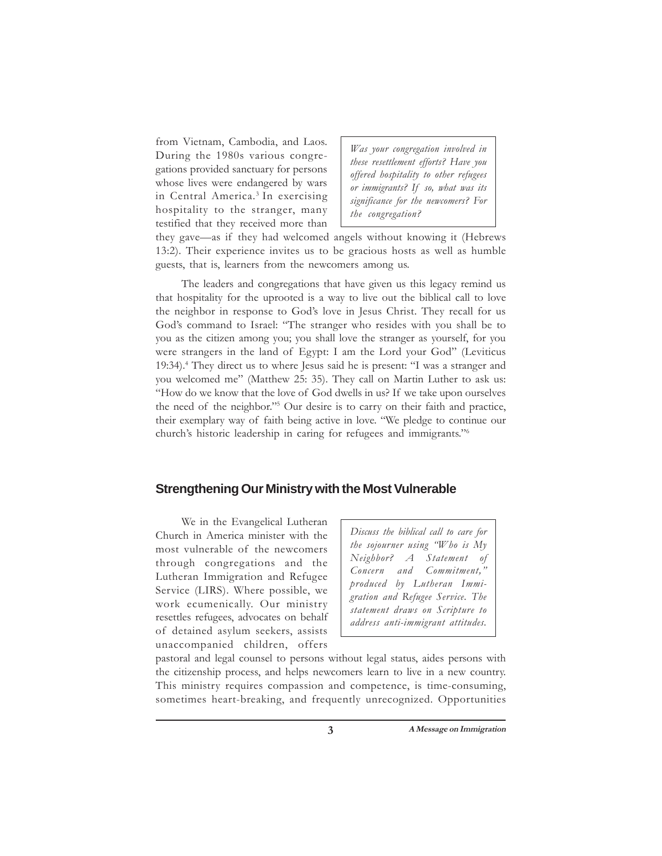from Vietnam, Cambodia, and Laos. During the 1980s various congregations provided sanctuary for persons whose lives were endangered by wars in Central America.<sup>3</sup> In exercising hospitality to the stranger, many testified that they received more than

*Was your congregation involved in these resettlement efforts? Have you offered hospitality to other refugees or immigrants? If so, what was its significance for the newcomers? For the congregation?*

they gave—as if they had welcomed angels without knowing it (Hebrews 13:2). Their experience invites us to be gracious hosts as well as humble guests, that is, learners from the newcomers among us.

The leaders and congregations that have given us this legacy remind us that hospitality for the uprooted is a way to live out the biblical call to love the neighbor in response to God's love in Jesus Christ. They recall for us God's command to Israel: "The stranger who resides with you shall be to you as the citizen among you; you shall love the stranger as yourself, for you were strangers in the land of Egypt: I am the Lord your God" (Leviticus 19:34).4 They direct us to where Jesus said he is present: "I was a stranger and you welcomed me" (Matthew 25: 35). They call on Martin Luther to ask us: "How do we know that the love of God dwells in us? If we take upon ourselves the need of the neighbor."5 Our desire is to carry on their faith and practice, their exemplary way of faith being active in love. "We pledge to continue our church's historic leadership in caring for refugees and immigrants."6

## **Strengthening Our Ministry with the Most Vulnerable**

We in the Evangelical Lutheran Church in America minister with the most vulnerable of the newcomers through congregations and the Lutheran Immigration and Refugee Service (LIRS). Where possible, we work ecumenically. Our ministry resettles refugees, advocates on behalf of detained asylum seekers, assists unaccompanied children, offers

*Discuss the biblical call to care for the sojourner using "Who is My Neighbor? A Statement of Concern and Commitment," produced by Lutheran Immigration and Refugee Service. The statement draws on Scripture to address anti-immigrant attitudes.*

pastoral and legal counsel to persons without legal status, aides persons with the citizenship process, and helps newcomers learn to live in a new country. This ministry requires compassion and competence, is time-consuming, sometimes heart-breaking, and frequently unrecognized. Opportunities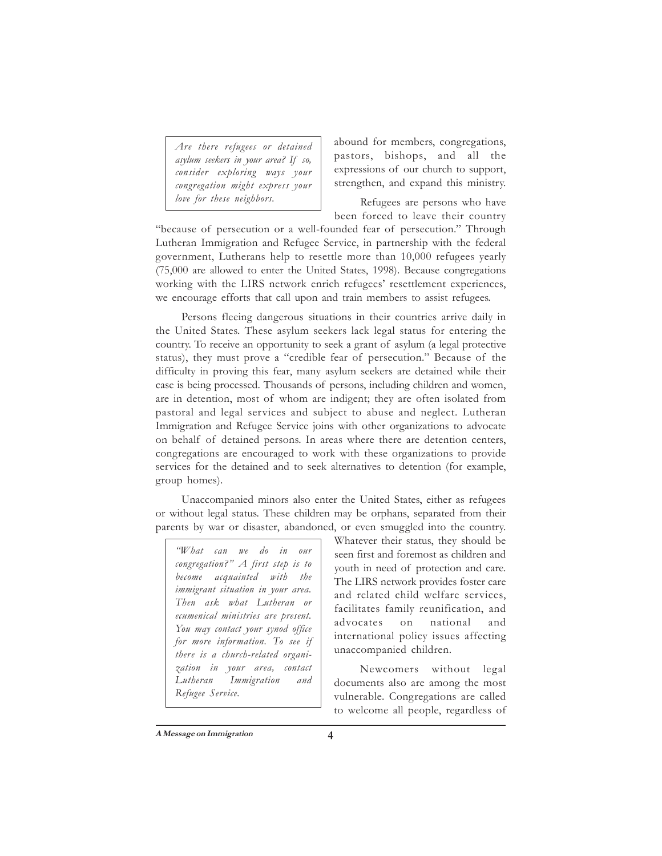*Are there refugees or detained asylum seekers in your area? If so, consider exploring ways your congregation might express your love for these neighbors.*

abound for members, congregations, pastors, bishops, and all the expressions of our church to support, strengthen, and expand this ministry.

Refugees are persons who have been forced to leave their country

"because of persecution or a well-founded fear of persecution." Through Lutheran Immigration and Refugee Service, in partnership with the federal government, Lutherans help to resettle more than 10,000 refugees yearly (75,000 are allowed to enter the United States, 1998). Because congregations working with the LIRS network enrich refugees' resettlement experiences, we encourage efforts that call upon and train members to assist refugees.

Persons fleeing dangerous situations in their countries arrive daily in the United States. These asylum seekers lack legal status for entering the country. To receive an opportunity to seek a grant of asylum (a legal protective status), they must prove a "credible fear of persecution." Because of the difficulty in proving this fear, many asylum seekers are detained while their case is being processed. Thousands of persons, including children and women, are in detention, most of whom are indigent; they are often isolated from pastoral and legal services and subject to abuse and neglect. Lutheran Immigration and Refugee Service joins with other organizations to advocate on behalf of detained persons. In areas where there are detention centers, congregations are encouraged to work with these organizations to provide services for the detained and to seek alternatives to detention (for example, group homes).

Unaccompanied minors also enter the United States, either as refugees or without legal status. These children may be orphans, separated from their parents by war or disaster, abandoned, or even smuggled into the country.

*"What can we do in our congregation?" A first step is to become acquainted with the immigrant situation in your area. Then ask what Lutheran or ecumenical ministries are present. You may contact your synod office for more information. To see if there is a church-related organization in your area, contact Lutheran Immigration and Refugee Service.*

Whatever their status, they should be seen first and foremost as children and youth in need of protection and care. The LIRS network provides foster care and related child welfare services, facilitates family reunification, and advocates on national and international policy issues affecting unaccompanied children.

Newcomers without legal documents also are among the most vulnerable. Congregations are called to welcome all people, regardless of

**A Message on Immigration**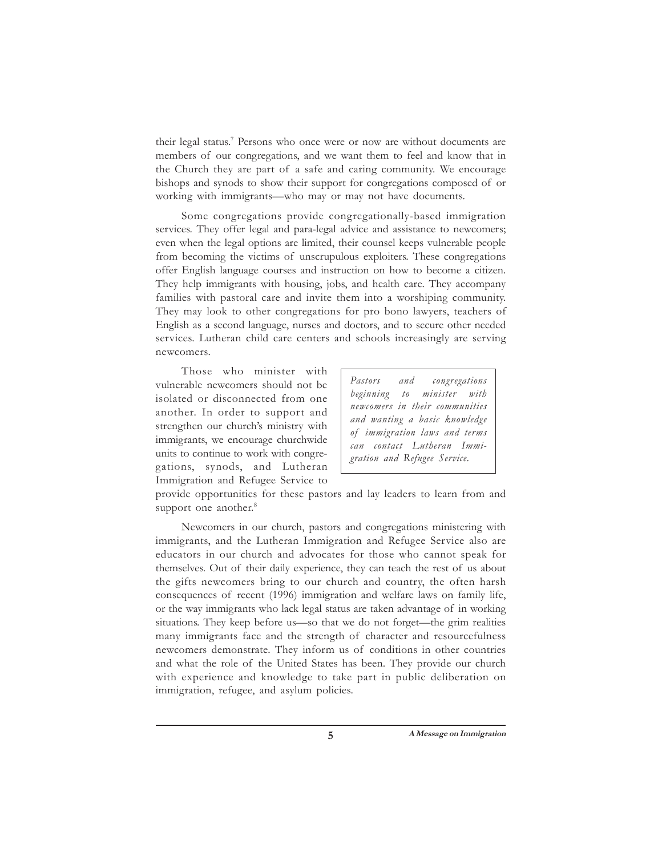their legal status.<sup>7</sup> Persons who once were or now are without documents are members of our congregations, and we want them to feel and know that in the Church they are part of a safe and caring community. We encourage bishops and synods to show their support for congregations composed of or working with immigrants—who may or may not have documents.

Some congregations provide congregationally-based immigration services. They offer legal and para-legal advice and assistance to newcomers; even when the legal options are limited, their counsel keeps vulnerable people from becoming the victims of unscrupulous exploiters. These congregations offer English language courses and instruction on how to become a citizen. They help immigrants with housing, jobs, and health care. They accompany families with pastoral care and invite them into a worshiping community. They may look to other congregations for pro bono lawyers, teachers of English as a second language, nurses and doctors, and to secure other needed services. Lutheran child care centers and schools increasingly are serving newcomers.

Those who minister with vulnerable newcomers should not be isolated or disconnected from one another. In order to support and strengthen our church's ministry with immigrants, we encourage churchwide units to continue to work with congregations, synods, and Lutheran Immigration and Refugee Service to

*Pastors and congregations beginning to minister with newcomers in their communities and wanting a basic knowledge of immigration laws and terms can contact Lutheran Immigration and Refugee Service.*

provide opportunities for these pastors and lay leaders to learn from and support one another.<sup>8</sup>

Newcomers in our church, pastors and congregations ministering with immigrants, and the Lutheran Immigration and Refugee Service also are educators in our church and advocates for those who cannot speak for themselves. Out of their daily experience, they can teach the rest of us about the gifts newcomers bring to our church and country, the often harsh consequences of recent (1996) immigration and welfare laws on family life, or the way immigrants who lack legal status are taken advantage of in working situations. They keep before us—so that we do not forget—the grim realities many immigrants face and the strength of character and resourcefulness newcomers demonstrate. They inform us of conditions in other countries and what the role of the United States has been. They provide our church with experience and knowledge to take part in public deliberation on immigration, refugee, and asylum policies.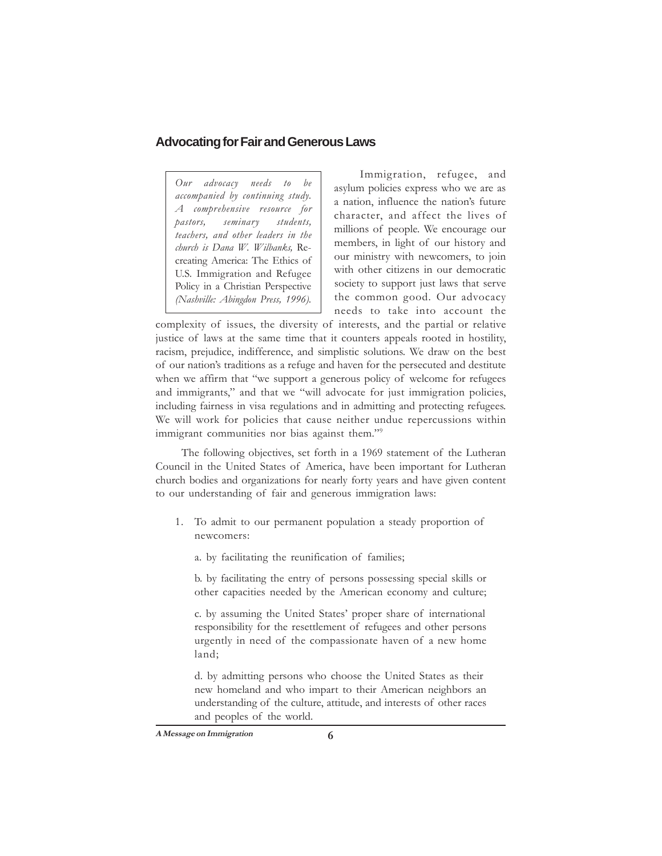# **Advocating for Fair and Generous Laws**

*Our advocacy needs to be accompanied by continuing study. A comprehensive resource for pastors, seminary students, teachers, and other leaders in the church is Dana W. Wilbanks,* Recreating America: The Ethics of U.S. Immigration and Refugee Policy in a Christian Perspective *(Nashville: Abingdon Press, 1996).*

Immigration, refugee, and asylum policies express who we are as a nation, influence the nation's future character, and affect the lives of millions of people. We encourage our members, in light of our history and our ministry with newcomers, to join with other citizens in our democratic society to support just laws that serve the common good. Our advocacy needs to take into account the

complexity of issues, the diversity of interests, and the partial or relative justice of laws at the same time that it counters appeals rooted in hostility, racism, prejudice, indifference, and simplistic solutions. We draw on the best of our nation's traditions as a refuge and haven for the persecuted and destitute when we affirm that "we support a generous policy of welcome for refugees and immigrants," and that we "will advocate for just immigration policies, including fairness in visa regulations and in admitting and protecting refugees. We will work for policies that cause neither undue repercussions within immigrant communities nor bias against them."9

The following objectives, set forth in a 1969 statement of the Lutheran Council in the United States of America, have been important for Lutheran church bodies and organizations for nearly forty years and have given content to our understanding of fair and generous immigration laws:

- 1. To admit to our permanent population a steady proportion of newcomers:
	- a. by facilitating the reunification of families;

b. by facilitating the entry of persons possessing special skills or other capacities needed by the American economy and culture;

c. by assuming the United States' proper share of international responsibility for the resettlement of refugees and other persons urgently in need of the compassionate haven of a new home land;

d. by admitting persons who choose the United States as their new homeland and who impart to their American neighbors an understanding of the culture, attitude, and interests of other races and peoples of the world.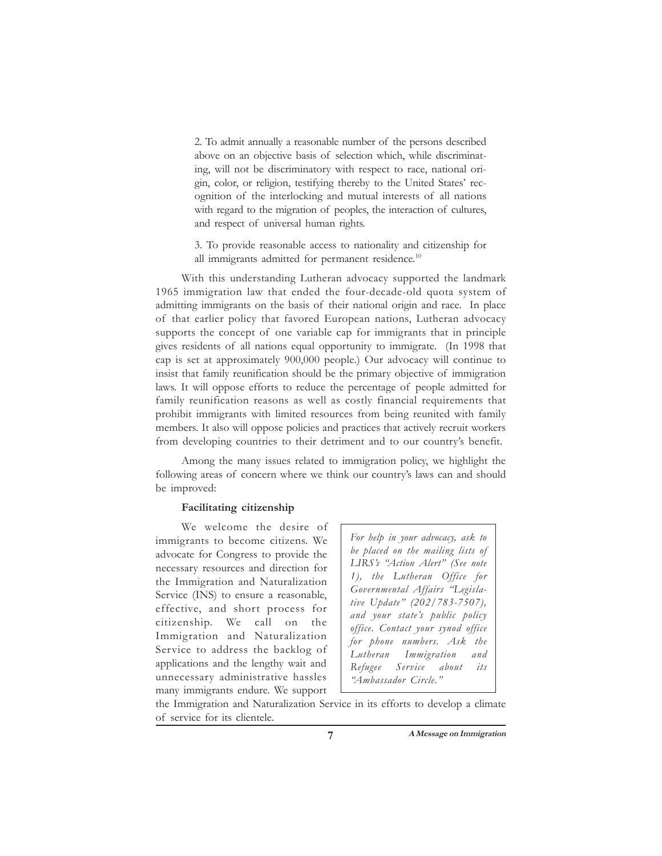2. To admit annually a reasonable number of the persons described above on an objective basis of selection which, while discriminating, will not be discriminatory with respect to race, national origin, color, or religion, testifying thereby to the United States' recognition of the interlocking and mutual interests of all nations with regard to the migration of peoples, the interaction of cultures, and respect of universal human rights.

3. To provide reasonable access to nationality and citizenship for all immigrants admitted for permanent residence.<sup>10</sup>

With this understanding Lutheran advocacy supported the landmark 1965 immigration law that ended the four-decade-old quota system of admitting immigrants on the basis of their national origin and race. In place of that earlier policy that favored European nations, Lutheran advocacy supports the concept of one variable cap for immigrants that in principle gives residents of all nations equal opportunity to immigrate. (In 1998 that cap is set at approximately 900,000 people.) Our advocacy will continue to insist that family reunification should be the primary objective of immigration laws. It will oppose efforts to reduce the percentage of people admitted for family reunification reasons as well as costly financial requirements that prohibit immigrants with limited resources from being reunited with family members. It also will oppose policies and practices that actively recruit workers from developing countries to their detriment and to our country's benefit.

Among the many issues related to immigration policy, we highlight the following areas of concern where we think our country's laws can and should be improved:

### **Facilitating citizenship**

We welcome the desire of immigrants to become citizens. We advocate for Congress to provide the necessary resources and direction for the Immigration and Naturalization Service (INS) to ensure a reasonable, effective, and short process for citizenship. We call on the Immigration and Naturalization Service to address the backlog of applications and the lengthy wait and unnecessary administrative hassles many immigrants endure. We support

*For help in your advocacy, ask to be placed on the mailing lists of LIRS's "Action Alert" (See note 1), the Lutheran Office for Governmental Affairs "Legislative Update" (202/783-7507), and your state's public policy office. Contact your synod office for phone numbers. Ask the Lutheran Immigration and Refugee Service about its "Ambassador Circle."*

the Immigration and Naturalization Service in its efforts to develop a climate of service for its clientele.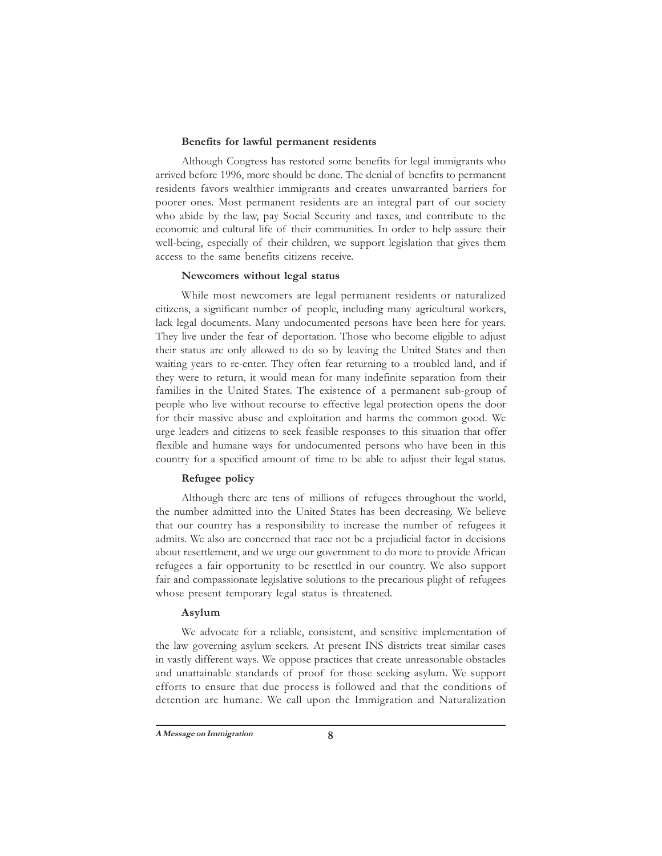#### **Benefits for lawful permanent residents**

Although Congress has restored some benefits for legal immigrants who arrived before 1996, more should be done. The denial of benefits to permanent residents favors wealthier immigrants and creates unwarranted barriers for poorer ones. Most permanent residents are an integral part of our society who abide by the law, pay Social Security and taxes, and contribute to the economic and cultural life of their communities. In order to help assure their well-being, especially of their children, we support legislation that gives them access to the same benefits citizens receive.

#### **Newcomers without legal status**

While most newcomers are legal permanent residents or naturalized citizens, a significant number of people, including many agricultural workers, lack legal documents. Many undocumented persons have been here for years. They live under the fear of deportation. Those who become eligible to adjust their status are only allowed to do so by leaving the United States and then waiting years to re-enter. They often fear returning to a troubled land, and if they were to return, it would mean for many indefinite separation from their families in the United States. The existence of a permanent sub-group of people who live without recourse to effective legal protection opens the door for their massive abuse and exploitation and harms the common good. We urge leaders and citizens to seek feasible responses to this situation that offer flexible and humane ways for undocumented persons who have been in this country for a specified amount of time to be able to adjust their legal status.

#### **Refugee policy**

Although there are tens of millions of refugees throughout the world, the number admitted into the United States has been decreasing. We believe that our country has a responsibility to increase the number of refugees it admits. We also are concerned that race not be a prejudicial factor in decisions about resettlement, and we urge our government to do more to provide African refugees a fair opportunity to be resettled in our country. We also support fair and compassionate legislative solutions to the precarious plight of refugees whose present temporary legal status is threatened.

### **Asylum**

We advocate for a reliable, consistent, and sensitive implementation of the law governing asylum seekers. At present INS districts treat similar cases in vastly different ways. We oppose practices that create unreasonable obstacles and unattainable standards of proof for those seeking asylum. We support efforts to ensure that due process is followed and that the conditions of detention are humane. We call upon the Immigration and Naturalization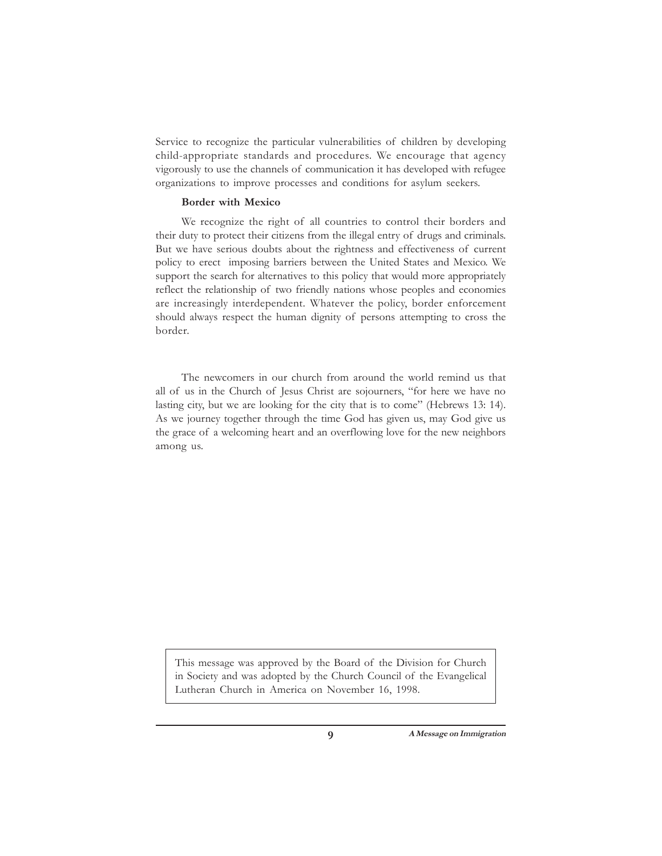Service to recognize the particular vulnerabilities of children by developing child-appropriate standards and procedures. We encourage that agency vigorously to use the channels of communication it has developed with refugee organizations to improve processes and conditions for asylum seekers.

### **Border with Mexico**

We recognize the right of all countries to control their borders and their duty to protect their citizens from the illegal entry of drugs and criminals. But we have serious doubts about the rightness and effectiveness of current policy to erect imposing barriers between the United States and Mexico. We support the search for alternatives to this policy that would more appropriately reflect the relationship of two friendly nations whose peoples and economies are increasingly interdependent. Whatever the policy, border enforcement should always respect the human dignity of persons attempting to cross the border.

The newcomers in our church from around the world remind us that all of us in the Church of Jesus Christ are sojourners, "for here we have no lasting city, but we are looking for the city that is to come" (Hebrews 13: 14). As we journey together through the time God has given us, may God give us the grace of a welcoming heart and an overflowing love for the new neighbors among us.

This message was approved by the Board of the Division for Church in Society and was adopted by the Church Council of the Evangelical Lutheran Church in America on November 16, 1998.

**9 A Message on Immigration**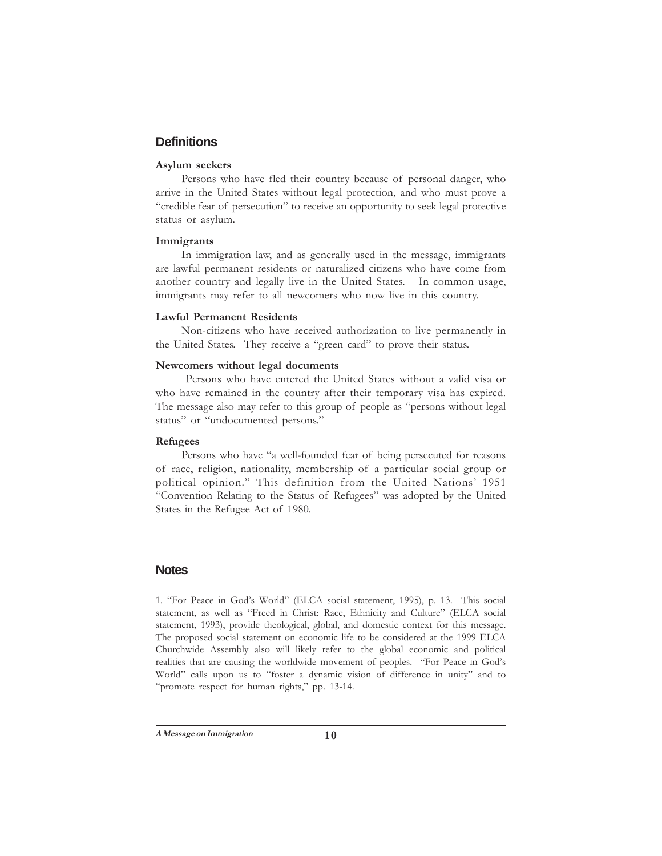# **Definitions**

## **Asylum seekers**

Persons who have fled their country because of personal danger, who arrive in the United States without legal protection, and who must prove a "credible fear of persecution" to receive an opportunity to seek legal protective status or asylum.

#### **Immigrants**

In immigration law, and as generally used in the message, immigrants are lawful permanent residents or naturalized citizens who have come from another country and legally live in the United States. In common usage, immigrants may refer to all newcomers who now live in this country.

#### **Lawful Permanent Residents**

Non-citizens who have received authorization to live permanently in the United States. They receive a "green card" to prove their status.

#### **Newcomers without legal documents**

 Persons who have entered the United States without a valid visa or who have remained in the country after their temporary visa has expired. The message also may refer to this group of people as "persons without legal status" or "undocumented persons."

### **Refugees**

Persons who have "a well-founded fear of being persecuted for reasons of race, religion, nationality, membership of a particular social group or political opinion." This definition from the United Nations' 1951 "Convention Relating to the Status of Refugees" was adopted by the United States in the Refugee Act of 1980.

## **Notes**

1. "For Peace in God's World" (ELCA social statement, 1995), p. 13. This social statement, as well as "Freed in Christ: Race, Ethnicity and Culture" (ELCA social statement, 1993), provide theological, global, and domestic context for this message. The proposed social statement on economic life to be considered at the 1999 ELCA Churchwide Assembly also will likely refer to the global economic and political realities that are causing the worldwide movement of peoples. "For Peace in God's World" calls upon us to "foster a dynamic vision of difference in unity" and to "promote respect for human rights," pp. 13-14.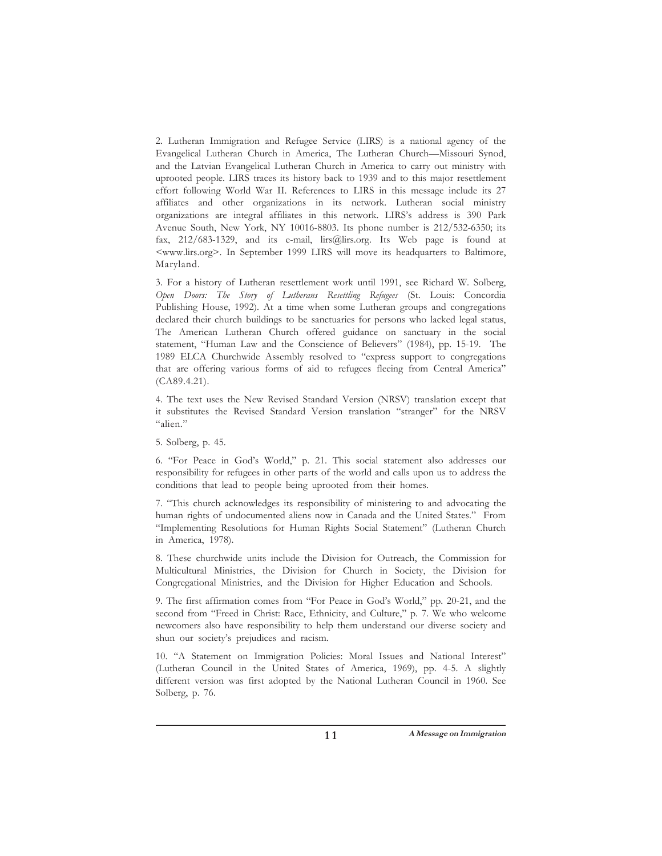2. Lutheran Immigration and Refugee Service (LIRS) is a national agency of the Evangelical Lutheran Church in America, The Lutheran Church—Missouri Synod, and the Latvian Evangelical Lutheran Church in America to carry out ministry with uprooted people. LIRS traces its history back to 1939 and to this major resettlement effort following World War II. References to LIRS in this message include its 27 affiliates and other organizations in its network. Lutheran social ministry organizations are integral affiliates in this network. LIRS's address is 390 Park Avenue South, New York, NY 10016-8803. Its phone number is 212/532-6350; its fax, 212/683-1329, and its e-mail, lirs@lirs.org. Its Web page is found at <www.lirs.org>. In September 1999 LIRS will move its headquarters to Baltimore, Maryland.

3. For a history of Lutheran resettlement work until 1991, see Richard W. Solberg, *Open Doors: The Story of Lutherans Resettling Refugees* (St. Louis: Concordia Publishing House, 1992). At a time when some Lutheran groups and congregations declared their church buildings to be sanctuaries for persons who lacked legal status, The American Lutheran Church offered guidance on sanctuary in the social statement, "Human Law and the Conscience of Believers" (1984), pp. 15-19. The 1989 ELCA Churchwide Assembly resolved to "express support to congregations that are offering various forms of aid to refugees fleeing from Central America" (CA89.4.21).

4. The text uses the New Revised Standard Version (NRSV) translation except that it substitutes the Revised Standard Version translation "stranger" for the NRSV "alien."

5. Solberg, p. 45.

6. "For Peace in God's World," p. 21. This social statement also addresses our responsibility for refugees in other parts of the world and calls upon us to address the conditions that lead to people being uprooted from their homes.

7. "This church acknowledges its responsibility of ministering to and advocating the human rights of undocumented aliens now in Canada and the United States." From "Implementing Resolutions for Human Rights Social Statement" (Lutheran Church in America, 1978).

8. These churchwide units include the Division for Outreach, the Commission for Multicultural Ministries, the Division for Church in Society, the Division for Congregational Ministries, and the Division for Higher Education and Schools.

9. The first affirmation comes from "For Peace in God's World," pp. 20-21, and the second from "Freed in Christ: Race, Ethnicity, and Culture," p. 7. We who welcome newcomers also have responsibility to help them understand our diverse society and shun our society's prejudices and racism.

10. "A Statement on Immigration Policies: Moral Issues and National Interest" (Lutheran Council in the United States of America, 1969), pp. 4-5. A slightly different version was first adopted by the National Lutheran Council in 1960. See Solberg, p. 76.